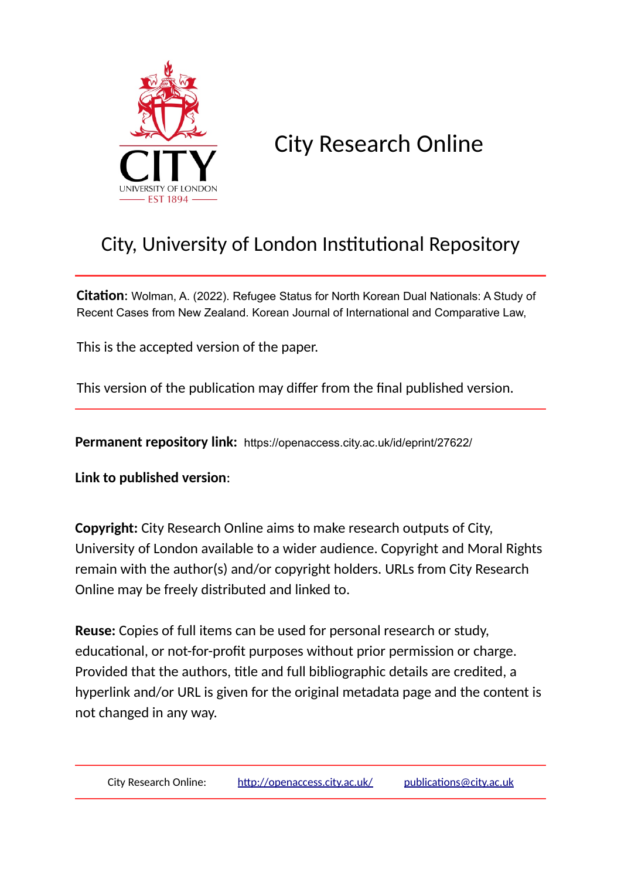

# City Research Online

## City, University of London Institutional Repository

**Citation**: Wolman, A. (2022). Refugee Status for North Korean Dual Nationals: A Study of Recent Cases from New Zealand. Korean Journal of International and Comparative Law,

This is the accepted version of the paper.

This version of the publication may differ from the final published version.

**Permanent repository link:** https://openaccess.city.ac.uk/id/eprint/27622/

**Link to published version**:

**Copyright:** City Research Online aims to make research outputs of City, University of London available to a wider audience. Copyright and Moral Rights remain with the author(s) and/or copyright holders. URLs from City Research Online may be freely distributed and linked to.

**Reuse:** Copies of full items can be used for personal research or study, educational, or not-for-profit purposes without prior permission or charge. Provided that the authors, title and full bibliographic details are credited, a hyperlink and/or URL is given for the original metadata page and the content is not changed in any way.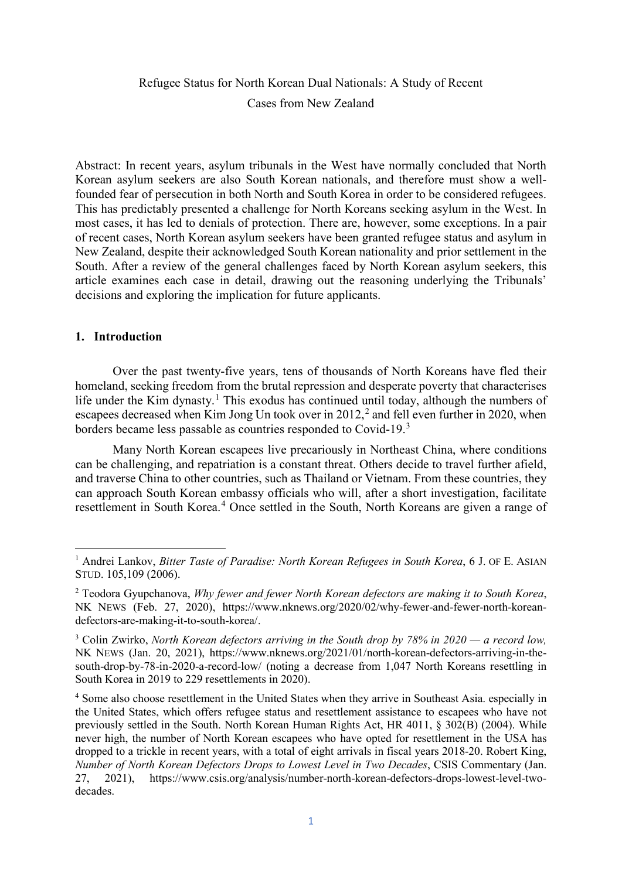### Refugee Status for North Korean Dual Nationals: A Study of Recent Cases from New Zealand

Abstract: In recent years, asylum tribunals in the West have normally concluded that North Korean asylum seekers are also South Korean nationals, and therefore must show a wellfounded fear of persecution in both North and South Korea in order to be considered refugees. This has predictably presented a challenge for North Koreans seeking asylum in the West. In most cases, it has led to denials of protection. There are, however, some exceptions. In a pair of recent cases, North Korean asylum seekers have been granted refugee status and asylum in New Zealand, despite their acknowledged South Korean nationality and prior settlement in the South. After a review of the general challenges faced by North Korean asylum seekers, this article examines each case in detail, drawing out the reasoning underlying the Tribunals' decisions and exploring the implication for future applicants.

#### **1. Introduction**

 $\overline{\phantom{a}}$ 

Over the past twenty-five years, tens of thousands of North Koreans have fled their homeland, seeking freedom from the brutal repression and desperate poverty that characterises life under the Kim dynasty.<sup>[1](#page-1-0)</sup> This exodus has continued until today, although the numbers of escapees decreased when Kim Jong Un took over in  $2012<sup>2</sup>$  $2012<sup>2</sup>$  and fell even further in 2020, when borders became less passable as countries responded to Covid-19.[3](#page-1-2)

Many North Korean escapees live precariously in Northeast China, where conditions can be challenging, and repatriation is a constant threat. Others decide to travel further afield, and traverse China to other countries, such as Thailand or Vietnam. From these countries, they can approach South Korean embassy officials who will, after a short investigation, facilitate resettlement in South Korea.<sup>[4](#page-1-3)</sup> Once settled in the South, North Koreans are given a range of

<span id="page-1-0"></span><sup>&</sup>lt;sup>1</sup> Andrei Lankov, *Bitter Taste of Paradise: North Korean Refugees in South Korea*, 6 J. OF E. ASIAN STUD. 105,109 (2006).

<span id="page-1-1"></span><sup>2</sup> Teodora Gyupchanova, *Why fewer and fewer North Korean defectors are making it to South Korea*, NK NEWS (Feb. 27, 2020), [https://www.nknews.org/2020/02/why-fewer-and-fewer-north-korean](https://www.nknews.org/2020/02/why-fewer-and-fewer-north-korean-defectors-are-making-it-to-south-korea/)[defectors-are-making-it-to-south-korea/.](https://www.nknews.org/2020/02/why-fewer-and-fewer-north-korean-defectors-are-making-it-to-south-korea/)

<span id="page-1-2"></span><sup>3</sup> Colin Zwirko, *North Korean defectors arriving in the South drop by 78% in 2020 — a record low,* NK NEWS (Jan. 20, 2021), [https://www.nknews.org/2021/01/north-korean-defectors-arriving-in-the](https://www.nknews.org/2021/01/north-korean-defectors-arriving-in-the-south-drop-by-78-in-2020-a-record-low/)[south-drop-by-78-in-2020-a-record-low/](https://www.nknews.org/2021/01/north-korean-defectors-arriving-in-the-south-drop-by-78-in-2020-a-record-low/) (noting a decrease from 1,047 North Koreans resettling in South Korea in 2019 to 229 resettlements in 2020).

<span id="page-1-3"></span><sup>4</sup> Some also choose resettlement in the United States when they arrive in Southeast Asia. especially in the United States, which offers refugee status and resettlement assistance to escapees who have not previously settled in the South. North Korean Human Rights Act, HR 4011, § 302(B) (2004). While never high, the number of North Korean escapees who have opted for resettlement in the USA has dropped to a trickle in recent years, with a total of eight arrivals in fiscal years 2018-20. Robert King, *Number of North Korean Defectors Drops to Lowest Level in Two Decades*, CSIS Commentary (Jan. 27, 2021), [https://www.csis.org/analysis/number-north-korean-defectors-drops-lowest-level-two](https://www.csis.org/analysis/number-north-korean-defectors-drops-lowest-level-two-decades)[decades.](https://www.csis.org/analysis/number-north-korean-defectors-drops-lowest-level-two-decades)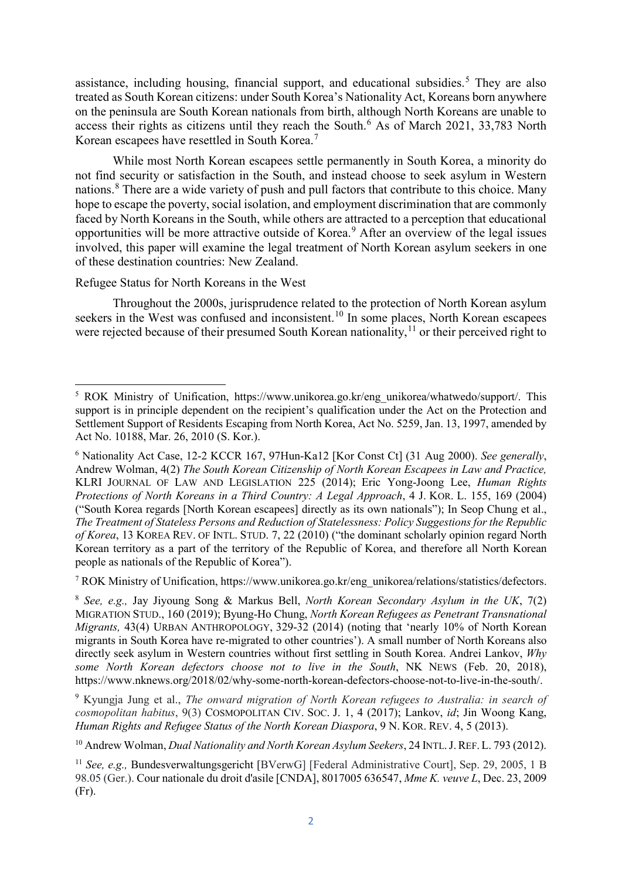assistance, including housing, financial support, and educational subsidies. [5](#page-2-0) They are also treated as South Korean citizens: under South Korea's Nationality Act, Koreans born anywhere on the peninsula are South Korean nationals from birth, although North Koreans are unable to access their rights as citizens until they reach the South.<sup>[6](#page-2-1)</sup> As of March 2021, 33,783 North Korean escapees have resettled in South Korea.[7](#page-2-2)

While most North Korean escapees settle permanently in South Korea, a minority do not find security or satisfaction in the South, and instead choose to seek asylum in Western nations.<sup>[8](#page-2-3)</sup> There are a wide variety of push and pull factors that contribute to this choice. Many hope to escape the poverty, social isolation, and employment discrimination that are commonly faced by North Koreans in the South, while others are attracted to a perception that educational opportunities will be more attractive outside of Korea. [9](#page-2-4) After an overview of the legal issues involved, this paper will examine the legal treatment of North Korean asylum seekers in one of these destination countries: New Zealand.

#### Refugee Status for North Koreans in the West

**.** 

Throughout the 2000s, jurisprudence related to the protection of North Korean asylum seekers in the West was confused and inconsistent.<sup>[10](#page-2-5)</sup> In some places, North Korean escapees were rejected because of their presumed South Korean nationality,<sup>[11](#page-2-6)</sup> or their perceived right to

<span id="page-2-2"></span><sup>7</sup> ROK Ministry of Unification, https://www.unikorea.go.kr/eng\_unikorea/relations/statistics/defectors.

<span id="page-2-3"></span><sup>8</sup> *See, e.g.,* Jay Jiyoung Song & Markus Bell, *North Korean Secondary Asylum in the UK*, 7(2) MIGRATION STUD., 160 (2019); Byung-Ho Chung, *North Korean Refugees as Penetrant Transnational Migrants,* 43(4) URBAN ANTHROPOLOGY, 329-32 (2014) (noting that 'nearly 10% of North Korean migrants in South Korea have re-migrated to other countries'). A small number of North Koreans also directly seek asylum in Western countries without first settling in South Korea. Andrei Lankov, *Why some North Korean defectors choose not to live in the South*, NK NEWS (Feb. 20, 2018), [https://www.nknews.org/2018/02/why-some-north-korean-defectors-choose-not-to-live-in-the-south/.](https://www.nknews.org/2018/02/why-some-north-korean-defectors-choose-not-to-live-in-the-south/)

<span id="page-2-4"></span><sup>9</sup> Kyungja Jung et al., *The onward migration of North Korean refugees to Australia: in search of cosmopolitan habitus*, 9(3) COSMOPOLITAN CIV. SOC. J. 1, 4 (2017); Lankov, *id*; Jin Woong Kang, *Human Rights and Refugee Status of the North Korean Diaspora*, 9 N. KOR. REV. 4, 5 (2013).

<span id="page-2-5"></span><sup>10</sup> Andrew Wolman, *Dual Nationality and North Korean Asylum Seekers*, 24 INTL.J.REF.L. 793 (2012).

<span id="page-2-0"></span><sup>&</sup>lt;sup>5</sup> ROK Ministry of Unification, https://www.unikorea.go.kr/eng\_unikorea/whatwedo/support/. This support is in principle dependent on the recipient's qualification under the Act on the Protection and Settlement Support of Residents Escaping from North Korea, Act No. 5259, Jan. 13, 1997, amended by Act No. 10188, Mar. 26, 2010 (S. Kor.).

<span id="page-2-1"></span><sup>6</sup> Nationality Act Case, 12-2 KCCR 167, 97Hun-Ka12 [Kor Const Ct] (31 Aug 2000). *See generally*, Andrew Wolman, 4(2) *The South Korean Citizenship of North Korean Escapees in Law and Practice,* KLRI JOURNAL OF LAW AND LEGISLATION 225 (2014); Eric Yong-Joong Lee, *Human Rights Protections of North Koreans in a Third Country: A Legal Approach*, 4 J. KOR. L. 155, 169 (2004) ("South Korea regards [North Korean escapees] directly as its own nationals"); In Seop Chung et al., *The Treatment of Stateless Persons and Reduction of Statelessness: Policy Suggestions for the Republic of Korea*, 13 KOREA REV. OF INTL. STUD. 7, 22 (2010) ("the dominant scholarly opinion regard North Korean territory as a part of the territory of the Republic of Korea, and therefore all North Korean people as nationals of the Republic of Korea").

<span id="page-2-6"></span><sup>11</sup> *See, e.g.,* Bundesverwaltungsgericht [BVerwG] [Federal Administrative Court], Sep. 29, 2005, 1 B 98.05 (Ger.). Cour nationale du droit d'asile [CNDA], 8017005 636547, *Mme K. veuve L*, Dec. 23, 2009 (Fr).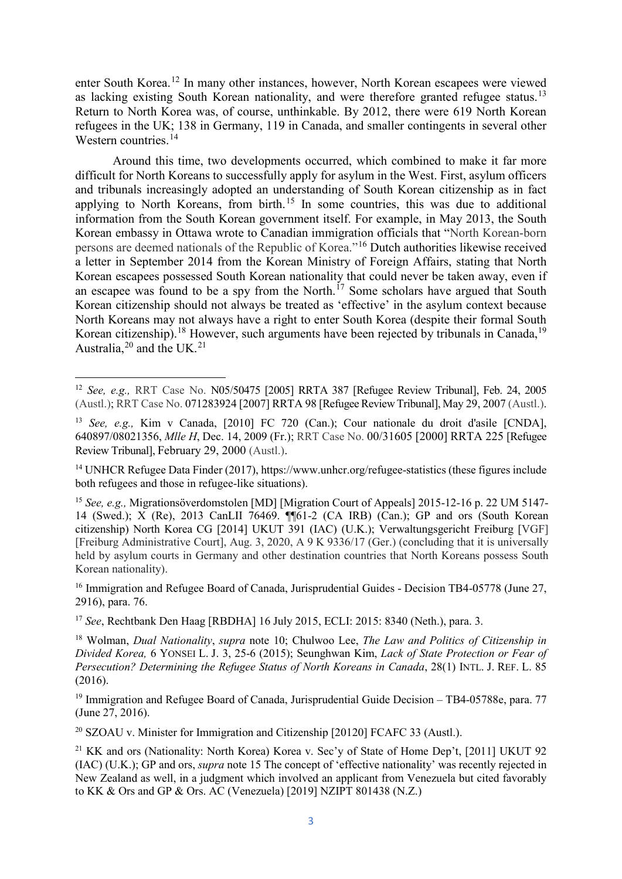enter South Korea.[12](#page-3-0) In many other instances, however, North Korean escapees were viewed as lacking existing South Korean nationality, and were therefore granted refugee status.<sup>[13](#page-3-1)</sup> Return to North Korea was, of course, unthinkable. By 2012, there were 619 North Korean refugees in the UK; 138 in Germany, 119 in Canada, and smaller contingents in several other Western countries. [14](#page-3-2)

Around this time, two developments occurred, which combined to make it far more difficult for North Koreans to successfully apply for asylum in the West. First, asylum officers and tribunals increasingly adopted an understanding of South Korean citizenship as in fact applying to North Koreans, from birth.<sup>[15](#page-3-3)</sup> In some countries, this was due to additional information from the South Korean government itself. For example, in May 2013, the South Korean embassy in Ottawa wrote to Canadian immigration officials that "North Korean-born persons are deemed nationals of the Republic of Korea."[16](#page-3-4) Dutch authorities likewise received a letter in September 2014 from the Korean Ministry of Foreign Affairs, stating that North Korean escapees possessed South Korean nationality that could never be taken away, even if an escapee was found to be a spy from the North.<sup>[17](#page-3-5)</sup> Some scholars have argued that South Korean citizenship should not always be treated as 'effective' in the asylum context because North Koreans may not always have a right to enter South Korea (despite their formal South Korean citizenship).<sup>[18](#page-3-6)</sup> However, such arguments have been rejected by tribunals in Canada,<sup>[19](#page-3-7)</sup> Australia,  $2^0$  and the UK.<sup>[21](#page-3-9)</sup>

**.** 

<span id="page-3-2"></span><sup>14</sup> UNHCR Refugee Data Finder (2017), https://www.unhcr.org/refugee-statistics (these figures include both refugees and those in refugee-like situations).

<span id="page-3-4"></span><sup>16</sup> Immigration and Refugee Board of Canada, Jurisprudential Guides - Decision TB4-05778 (June 27, 2916), para. 76.

<span id="page-3-5"></span><sup>17</sup> *See*, Rechtbank Den Haag [RBDHA] 16 July 2015, ECLI: 2015: 8340 (Neth.), para. 3.

<span id="page-3-6"></span><sup>18</sup> Wolman, *Dual Nationality*, *supra* note 10; Chulwoo Lee, *The Law and Politics of Citizenship in Divided Korea,* 6 YONSEI L. J. 3, 25-6 (2015); Seunghwan Kim, *Lack of State Protection or Fear of Persecution? Determining the Refugee Status of North Koreans in Canada*, 28(1) INTL. J. REF. L. 85 (2016).

<span id="page-3-7"></span><sup>19</sup> Immigration and Refugee Board of Canada, Jurisprudential Guide Decision – TB4-05788e, para. 77 (June 27, 2016).

<span id="page-3-8"></span> $^{20}$  SZOAU v. Minister for Immigration and Citizenship [20120] FCAFC 33 (Austl.).

<span id="page-3-0"></span><sup>12</sup> *See, e.g.,* RRT Case No. N05/50475 [2005] RRTA 387 [Refugee Review Tribunal], Feb. 24, 2005 (Austl.); RRT Case No. 071283924 [2007] RRTA 98 [Refugee Review Tribunal], May 29, 2007 (Austl.).

<span id="page-3-1"></span><sup>13</sup> *See, e.g.,* Kim v Canada, [2010] FC 720 (Can.); Cour nationale du droit d'asile [CNDA], 640897/08021356, *Mlle H*, Dec. 14, 2009 (Fr.); RRT Case No. 00/31605 [2000] RRTA 225 [Refugee Review Tribunal], February 29, 2000 (Austl.).

<span id="page-3-3"></span><sup>15</sup> *See, e.g.,* Migrationsöverdomstolen [MD] [Migration Court of Appeals] 2015-12-16 p. 22 UM 5147- 14 (Swed.); X (Re), 2013 CanLII 76469. ¶¶61-2 (CA IRB) (Can.); [GP and ors \(South Korean](http://www.bailii.org/uk/cases/UKUT/IAC/2014/%5b2014%5d_UKUT_391_iac.html)  [citizenship\) North Korea CG \[2014\]](http://www.bailii.org/uk/cases/UKUT/IAC/2014/%5b2014%5d_UKUT_391_iac.html) UKUT 391 (IAC) (U.K.); Verwaltungsgericht Freiburg [VGF] [Freiburg Administrative Court], Aug. 3, 2020, A 9 K 9336/17 (Ger.) (concluding that it is universally held by asylum courts in Germany and other destination countries that North Koreans possess South Korean nationality).

<span id="page-3-9"></span><sup>&</sup>lt;sup>21</sup> KK and ors (Nationality: North Korea) Korea v. Sec'y of State of Home Dep't, [2011] UKUT 92 (IAC) (U.K.); GP and ors, *supra* note 15 The concept of 'effective nationality' was recently rejected in New Zealand as well, in a judgment which involved an applicant from Venezuela but cited favorably to KK & Ors and GP & Ors. AC (Venezuela) [2019] NZIPT 801438 (N.Z.)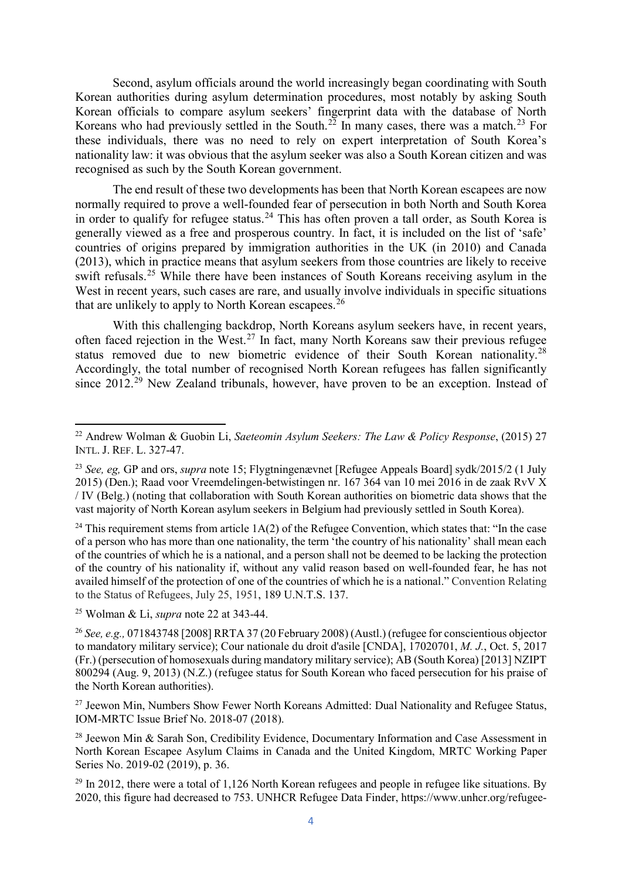Second, asylum officials around the world increasingly began coordinating with South Korean authorities during asylum determination procedures, most notably by asking South Korean officials to compare asylum seekers' fingerprint data with the database of North Koreans who had previously settled in the South.<sup>[22](#page-4-0)</sup> In many cases, there was a match.<sup>[23](#page-4-1)</sup> For these individuals, there was no need to rely on expert interpretation of South Korea's nationality law: it was obvious that the asylum seeker was also a South Korean citizen and was recognised as such by the South Korean government.

The end result of these two developments has been that North Korean escapees are now normally required to prove a well-founded fear of persecution in both North and South Korea in order to qualify for refugee status.<sup>[24](#page-4-2)</sup> This has often proven a tall order, as South Korea is generally viewed as a free and prosperous country. In fact, it is included on the list of 'safe' countries of origins prepared by immigration authorities in the UK (in 2010) and Canada (2013), which in practice means that asylum seekers from those countries are likely to receive swift refusals.<sup>[25](#page-4-3)</sup> While there have been instances of South Koreans receiving asylum in the West in recent years, such cases are rare, and usually involve individuals in specific situations that are unlikely to apply to North Korean escapees.<sup>[26](#page-4-4)</sup>

With this challenging backdrop, North Koreans asylum seekers have, in recent years, often faced rejection in the West.[27](#page-4-5) In fact, many North Koreans saw their previous refugee status removed due to new biometric evidence of their South Korean nationality.<sup>[28](#page-4-6)</sup> Accordingly, the total number of recognised North Korean refugees has fallen significantly since 2012.<sup>[29](#page-4-7)</sup> New Zealand tribunals, however, have proven to be an exception. Instead of

<span id="page-4-2"></span><sup>24</sup> This requirement stems from article  $1A(2)$  of the Refugee Convention, which states that: "In the case of a person who has more than one nationality, the term 'the country of his nationality' shall mean each of the countries of which he is a national, and a person shall not be deemed to be lacking the protection of the country of his nationality if, without any valid reason based on well-founded fear, he has not availed himself of the protection of one of the countries of which he is a national." Convention Relating to the Status of Refugees, July 25, 1951, [189 U.N.T.S. 137.](https://1.next.westlaw.com/Link/Document/FullText?findType=Y&pubNum=114768&cite=189UNTS137&originatingDoc=Ic86640f04a8211dba16d88fb847e95e5&refType=RP&originationContext=document&transitionType=DocumentItem&contextData=(sc.Search))

<span id="page-4-3"></span><sup>25</sup> Wolman & Li, *supra* note 22 at 343-44.

 $\overline{\phantom{a}}$ 

<span id="page-4-4"></span><sup>26</sup> *See, e.g.,* 071843748 [2008] RRTA 37 (20 February 2008) (Austl.) (refugee for conscientious objector to mandatory military service); Cour nationale du droit d'asile [CNDA], 17020701, *M. J.*, Oct. 5, 2017 (Fr.) (persecution of homosexuals during mandatory military service); AB (South Korea) [2013] NZIPT 800294 (Aug. 9, 2013) (N.Z.) (refugee status for South Korean who faced persecution for his praise of the North Korean authorities).

<span id="page-4-5"></span> $27$  Jeewon Min, Numbers Show Fewer North Koreans Admitted: Dual Nationality and Refugee Status, IOM-MRTC Issue Brief No. 2018-07 (2018).

<span id="page-4-6"></span><sup>28</sup> Jeewon Min & Sarah Son, Credibility Evidence, Documentary Information and Case Assessment in North Korean Escapee Asylum Claims in Canada and the United Kingdom, MRTC Working Paper Series No. 2019-02 (2019), p. 36.

<span id="page-4-7"></span> $^{29}$  In 2012, there were a total of 1,126 North Korean refugees and people in refugee like situations. By 2020, this figure had decreased to 753. UNHCR Refugee Data Finder, https://www.unhcr.org/refugee-

<span id="page-4-0"></span><sup>22</sup> Andrew Wolman & Guobin Li, *Saeteomin Asylum Seekers: The Law & Policy Response*, (2015) 27 INTL. J. REF. L. 327-47.

<span id="page-4-1"></span><sup>23</sup> *See, eg,* GP and ors, *supra* note 15; Flygtningenævnet [Refugee Appeals Board] sydk/2015/2 (1 July 2015) (Den.); Raad voor Vreemdelingen-betwistingen nr. 167 364 van 10 mei 2016 in de zaak RvV X / IV (Belg.) (noting that collaboration with South Korean authorities on biometric data shows that the vast majority of North Korean asylum seekers in Belgium had previously settled in South Korea).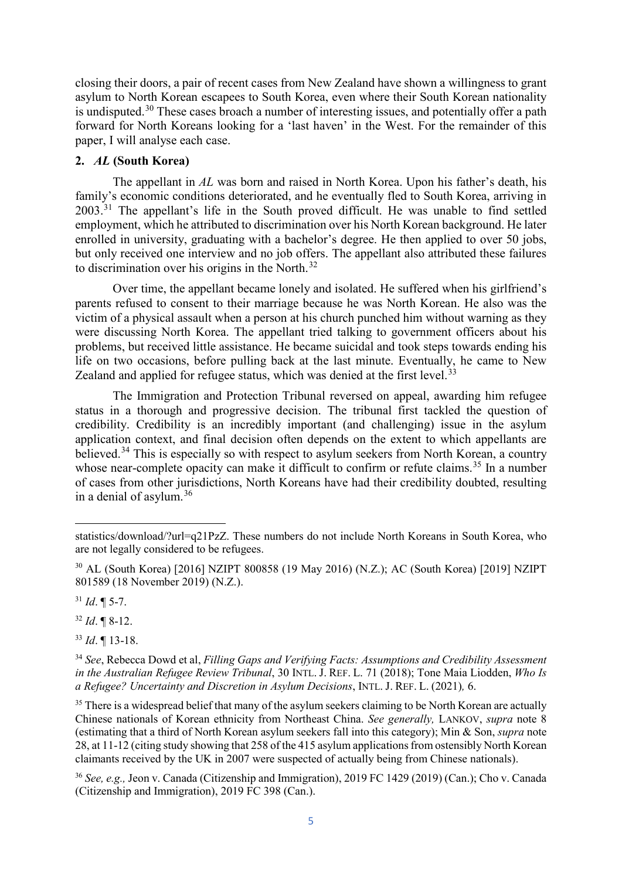closing their doors, a pair of recent cases from New Zealand have shown a willingness to grant asylum to North Korean escapees to South Korea, even where their South Korean nationality is undisputed.<sup>[30](#page-5-0)</sup> These cases broach a number of interesting issues, and potentially offer a path forward for North Koreans looking for a 'last haven' in the West. For the remainder of this paper, I will analyse each case.

#### **2.** *AL* **(South Korea)**

The appellant in *AL* was born and raised in North Korea. Upon his father's death, his family's economic conditions deteriorated, and he eventually fled to South Korea, arriving in 2003.[31](#page-5-1) The appellant's life in the South proved difficult. He was unable to find settled employment, which he attributed to discrimination over his North Korean background. He later enrolled in university, graduating with a bachelor's degree. He then applied to over 50 jobs, but only received one interview and no job offers. The appellant also attributed these failures to discrimination over his origins in the North.<sup>[32](#page-5-2)</sup>

Over time, the appellant became lonely and isolated. He suffered when his girlfriend's parents refused to consent to their marriage because he was North Korean. He also was the victim of a physical assault when a person at his church punched him without warning as they were discussing North Korea. The appellant tried talking to government officers about his problems, but received little assistance. He became suicidal and took steps towards ending his life on two occasions, before pulling back at the last minute. Eventually, he came to New Zealand and applied for refugee status, which was denied at the first level.<sup>[33](#page-5-3)</sup>

The Immigration and Protection Tribunal reversed on appeal, awarding him refugee status in a thorough and progressive decision. The tribunal first tackled the question of credibility. Credibility is an incredibly important (and challenging) issue in the asylum application context, and final decision often depends on the extent to which appellants are believed.<sup>[34](#page-5-4)</sup> This is especially so with respect to asylum seekers from North Korean, a country whose near-complete opacity can make it difficult to confirm or refute claims.<sup>[35](#page-5-5)</sup> In a number of cases from other jurisdictions, North Koreans have had their credibility doubted, resulting in a denial of asylum. [36](#page-5-6)

<span id="page-5-1"></span> $31$  *Id.*  $\P$  5-7.

 $\overline{\phantom{a}}$ 

<span id="page-5-2"></span><sup>32</sup> *Id*. ¶ 8-12.

<span id="page-5-3"></span><sup>33</sup> *Id*. ¶ 13-18.

<span id="page-5-5"></span><sup>35</sup> There is a widespread belief that many of the asylum seekers claiming to be North Korean are actually Chinese nationals of Korean ethnicity from Northeast China. *See generally,* LANKOV, *supra* note 8 (estimating that a third of North Korean asylum seekers fall into this category); Min & Son, *supra* note 28, at 11-12 (citing study showing that 258 of the 415 asylum applications from ostensibly North Korean claimants received by the UK in 2007 were suspected of actually being from Chinese nationals).

<span id="page-5-6"></span><sup>36</sup> *See, e.g.,* Jeon v. Canada (Citizenship and Immigration), 2019 FC 1429 (2019) (Can.); Cho v. Canada (Citizenship and Immigration), 2019 FC 398 (Can.).

statistics/download/?url=q21PzZ. These numbers do not include North Koreans in South Korea, who are not legally considered to be refugees.

<span id="page-5-0"></span><sup>30</sup> AL (South Korea) [2016] NZIPT 800858 (19 May 2016) (N.Z.); AC (South Korea) [2019] NZIPT 801589 (18 November 2019) (N.Z.).

<span id="page-5-4"></span><sup>34</sup> *See*, Rebecca Dowd et al, *Filling Gaps and Verifying Facts: Assumptions and Credibility Assessment in the Australian Refugee Review Tribunal*, 30 INTL. J. REF. L. 71 (2018); Tone Maia Liodden, *Who Is a Refugee? Uncertainty and Discretion in Asylum Decisions*, INTL. J. REF. L. (2021)*,* 6.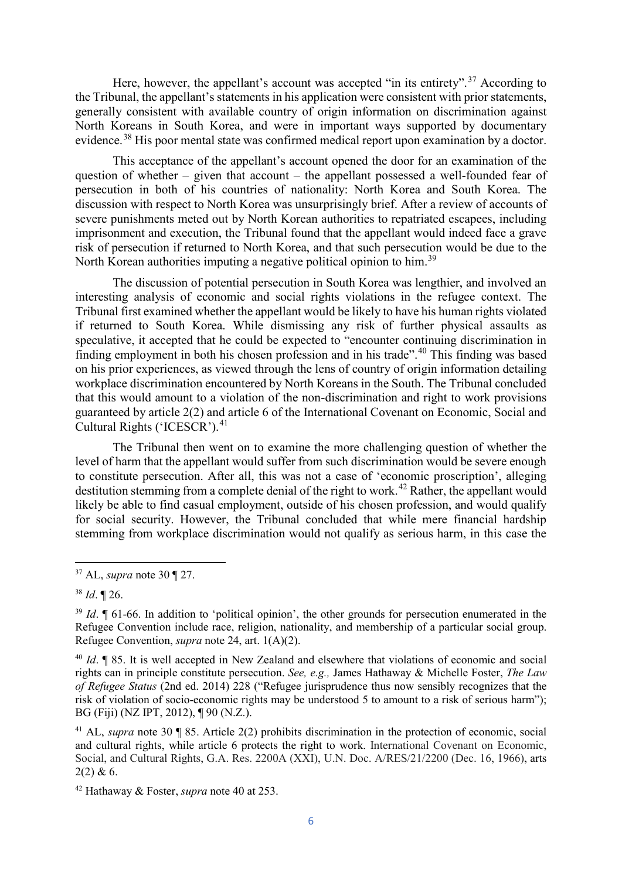Here, however, the appellant's account was accepted "in its entirety".<sup>[37](#page-6-0)</sup> According to the Tribunal, the appellant's statements in his application were consistent with prior statements, generally consistent with available country of origin information on discrimination against North Koreans in South Korea, and were in important ways supported by documentary evidence.<sup>[38](#page-6-1)</sup> His poor mental state was confirmed medical report upon examination by a doctor.

This acceptance of the appellant's account opened the door for an examination of the question of whether – given that account – the appellant possessed a well-founded fear of persecution in both of his countries of nationality: North Korea and South Korea. The discussion with respect to North Korea was unsurprisingly brief. After a review of accounts of severe punishments meted out by North Korean authorities to repatriated escapees, including imprisonment and execution, the Tribunal found that the appellant would indeed face a grave risk of persecution if returned to North Korea, and that such persecution would be due to the North Korean authorities imputing a negative political opinion to him.<sup>[39](#page-6-2)</sup>

The discussion of potential persecution in South Korea was lengthier, and involved an interesting analysis of economic and social rights violations in the refugee context. The Tribunal first examined whether the appellant would be likely to have his human rights violated if returned to South Korea. While dismissing any risk of further physical assaults as speculative, it accepted that he could be expected to "encounter continuing discrimination in finding employment in both his chosen profession and in his trade".[40](#page-6-3) This finding was based on his prior experiences, as viewed through the lens of country of origin information detailing workplace discrimination encountered by North Koreans in the South. The Tribunal concluded that this would amount to a violation of the non-discrimination and right to work provisions guaranteed by article 2(2) and article 6 of the International Covenant on Economic, Social and Cultural Rights ('ICESCR').<sup>[41](#page-6-4)</sup>

The Tribunal then went on to examine the more challenging question of whether the level of harm that the appellant would suffer from such discrimination would be severe enough to constitute persecution. After all, this was not a case of 'economic proscription', alleging destitution stemming from a complete denial of the right to work.<sup>[42](#page-6-5)</sup> Rather, the appellant would likely be able to find casual employment, outside of his chosen profession, and would qualify for social security. However, the Tribunal concluded that while mere financial hardship stemming from workplace discrimination would not qualify as serious harm, in this case the

**.** 

<span id="page-6-3"></span><sup>40</sup> *Id*. ¶ 85. It is well accepted in New Zealand and elsewhere that violations of economic and social rights can in principle constitute persecution. *See, e.g.,* James Hathaway & Michelle Foster, *The Law of Refugee Status* (2nd ed. 2014) 228 ("Refugee jurisprudence thus now sensibly recognizes that the risk of violation of socio-economic rights may be understood 5 to amount to a risk of serious harm"); BG (Fiji) (NZ IPT, 2012), ¶ 90 (N.Z.).

<span id="page-6-0"></span><sup>37</sup> AL, *supra* note 30 ¶ 27.

<span id="page-6-1"></span><sup>38</sup> *Id*. ¶ 26.

<span id="page-6-2"></span><sup>&</sup>lt;sup>39</sup> *Id*. **[61-66.** In addition to 'political opinion', the other grounds for persecution enumerated in the Refugee Convention include race, religion, nationality, and membership of a particular social group. Refugee Convention, *supra* note 24, art. 1(A)(2).

<span id="page-6-4"></span><sup>41</sup> AL, *supra* note 30 ¶ 85. Article 2(2) prohibits discrimination in the protection of economic, social and cultural rights, while article 6 protects the right to work. International Covenant on Economic, Social, and Cultural Rights, G.A. Res. 2200A (XXI), U.N. Doc. A/RES/21/2200 (Dec. 16, 1966), arts  $2(2)$  & 6.

<span id="page-6-5"></span><sup>42</sup> Hathaway & Foster, *supra* note 40 at 253.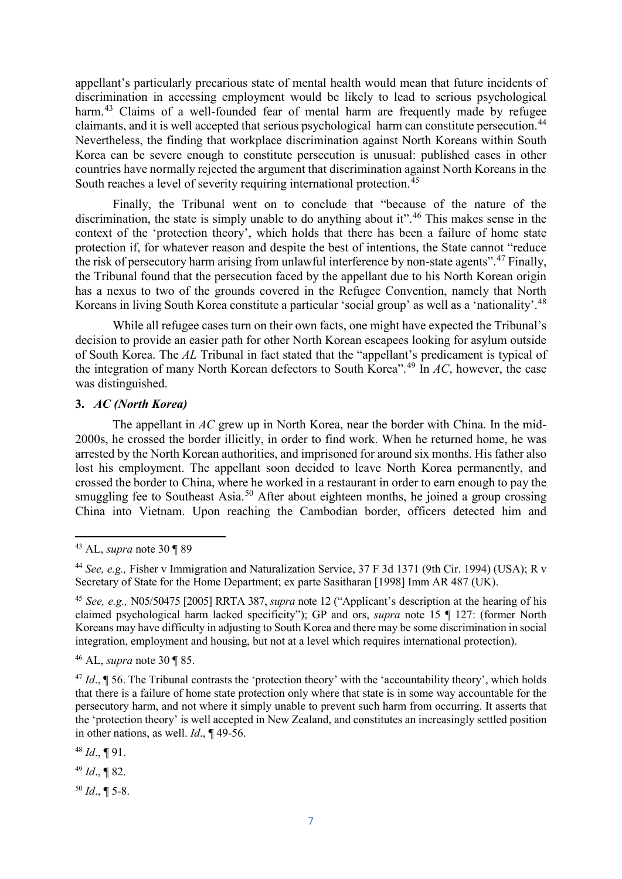appellant's particularly precarious state of mental health would mean that future incidents of discrimination in accessing employment would be likely to lead to serious psychological harm.<sup>[43](#page-7-0)</sup> Claims of a well-founded fear of mental harm are frequently made by refugee claimants, and it is well accepted that serious psychological harm can constitute persecution.<sup>[44](#page-7-1)</sup> Nevertheless, the finding that workplace discrimination against North Koreans within South Korea can be severe enough to constitute persecution is unusual: published cases in other countries have normally rejected the argument that discrimination against North Koreans in the South reaches a level of severity requiring international protection.  $45$ 

Finally, the Tribunal went on to conclude that "because of the nature of the discrimination, the state is simply unable to do anything about it".<sup>[46](#page-7-3)</sup> This makes sense in the context of the 'protection theory', which holds that there has been a failure of home state protection if, for whatever reason and despite the best of intentions, the State cannot "reduce the risk of persecutory harm arising from unlawful interference by non-state agents".<sup>[47](#page-7-4)</sup> Finally, the Tribunal found that the persecution faced by the appellant due to his North Korean origin has a nexus to two of the grounds covered in the Refugee Convention, namely that North Koreans in living South Korea constitute a particular 'social group' as well as a 'nationality'.<sup>[48](#page-7-5)</sup>

While all refugee cases turn on their own facts, one might have expected the Tribunal's decision to provide an easier path for other North Korean escapees looking for asylum outside of South Korea. The *AL* Tribunal in fact stated that the "appellant's predicament is typical of the integration of many North Korean defectors to South Korea". [49](#page-7-6) In *AC*, however, the case was distinguished.

#### **3.** *AC (North Korea)*

The appellant in *AC* grew up in North Korea, near the border with China. In the mid-2000s, he crossed the border illicitly, in order to find work. When he returned home, he was arrested by the North Korean authorities, and imprisoned for around six months. His father also lost his employment. The appellant soon decided to leave North Korea permanently, and crossed the border to China, where he worked in a restaurant in order to earn enough to pay the smuggling fee to Southeast Asia.<sup>[50](#page-7-7)</sup> After about eighteen months, he joined a group crossing China into Vietnam. Upon reaching the Cambodian border, officers detected him and

**.** 

<span id="page-7-7"></span> $50$  *Id.*, **[** 5-8.]

<span id="page-7-0"></span><sup>43</sup> AL, *supra* note 30 ¶ 89

<span id="page-7-1"></span><sup>44</sup> *See, e.g.,* Fisher v Immigration and Naturalization Service, 37 F 3d 1371 (9th Cir. 1994) (USA); R v Secretary of State for the Home Department; ex parte Sasitharan [1998] Imm AR 487 (UK).

<span id="page-7-2"></span><sup>45</sup> *See, e.g.,* N05/50475 [2005] RRTA 387, *supra* note 12 ("Applicant's description at the hearing of his claimed psychological harm lacked specificity"); GP and ors, *supra* note 15 ¶ 127: (former North Koreans may have difficulty in adjusting to South Korea and there may be some discrimination in social integration, employment and housing, but not at a level which requires international protection).

<span id="page-7-3"></span><sup>46</sup> AL, *supra* note 30 ¶ 85.

<span id="page-7-4"></span> $^{47}$  *Id.*,  $\sqrt{\phantom{a}}$  56. The Tribunal contrasts the 'protection theory' with the 'accountability theory', which holds that there is a failure of home state protection only where that state is in some way accountable for the persecutory harm, and not where it simply unable to prevent such harm from occurring. It asserts that the 'protection theory' is well accepted in New Zealand, and constitutes an increasingly settled position in other nations, as well. *Id*., ¶ 49-56.

<span id="page-7-5"></span><sup>48</sup> *Id*., ¶ 91.

<span id="page-7-6"></span><sup>49</sup> *Id*., ¶ 82.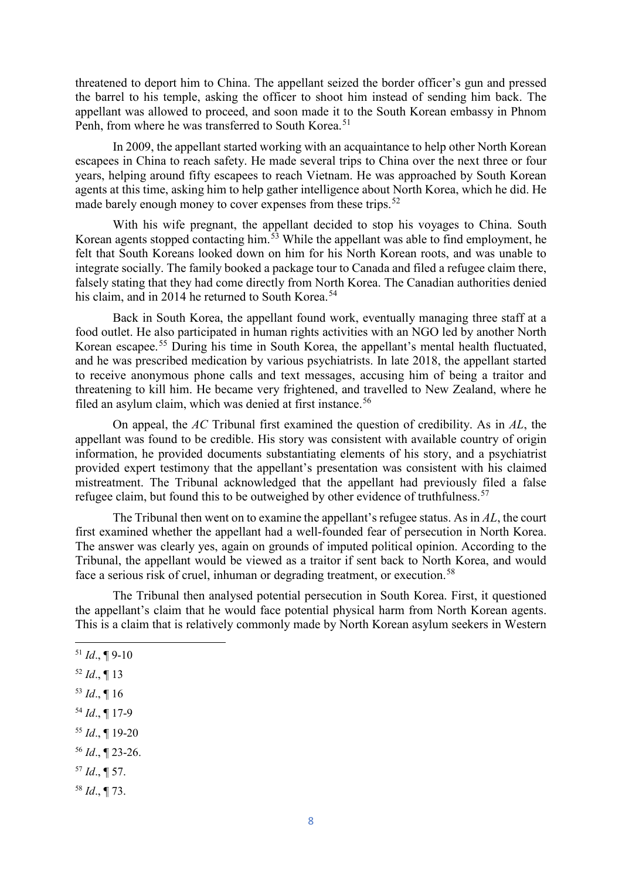threatened to deport him to China. The appellant seized the border officer's gun and pressed the barrel to his temple, asking the officer to shoot him instead of sending him back. The appellant was allowed to proceed, and soon made it to the South Korean embassy in Phnom Penh, from where he was transferred to South Korea.<sup>[51](#page-8-0)</sup>

In 2009, the appellant started working with an acquaintance to help other North Korean escapees in China to reach safety. He made several trips to China over the next three or four years, helping around fifty escapees to reach Vietnam. He was approached by South Korean agents at this time, asking him to help gather intelligence about North Korea, which he did. He made barely enough money to cover expenses from these trips.<sup>[52](#page-8-1)</sup>

With his wife pregnant, the appellant decided to stop his voyages to China. South Korean agents stopped contacting him.[53](#page-8-2) While the appellant was able to find employment, he felt that South Koreans looked down on him for his North Korean roots, and was unable to integrate socially. The family booked a package tour to Canada and filed a refugee claim there, falsely stating that they had come directly from North Korea. The Canadian authorities denied his claim, and in 2014 he returned to South Korea.<sup>[54](#page-8-3)</sup>

Back in South Korea, the appellant found work, eventually managing three staff at a food outlet. He also participated in human rights activities with an NGO led by another North Korean escapee.[55](#page-8-4) During his time in South Korea, the appellant's mental health fluctuated, and he was prescribed medication by various psychiatrists. In late 2018, the appellant started to receive anonymous phone calls and text messages, accusing him of being a traitor and threatening to kill him. He became very frightened, and travelled to New Zealand, where he filed an asylum claim, which was denied at first instance.<sup>[56](#page-8-5)</sup>

On appeal, the *AC* Tribunal first examined the question of credibility. As in *AL*, the appellant was found to be credible. His story was consistent with available country of origin information, he provided documents substantiating elements of his story, and a psychiatrist provided expert testimony that the appellant's presentation was consistent with his claimed mistreatment. The Tribunal acknowledged that the appellant had previously filed a false refugee claim, but found this to be outweighed by other evidence of truthfulness.<sup>[57](#page-8-6)</sup>

The Tribunal then went on to examine the appellant's refugee status. As in *AL*, the court first examined whether the appellant had a well-founded fear of persecution in North Korea. The answer was clearly yes, again on grounds of imputed political opinion. According to the Tribunal, the appellant would be viewed as a traitor if sent back to North Korea, and would face a serious risk of cruel, inhuman or degrading treatment, or execution.<sup>[58](#page-8-7)</sup>

The Tribunal then analysed potential persecution in South Korea. First, it questioned the appellant's claim that he would face potential physical harm from North Korean agents. This is a claim that is relatively commonly made by North Korean asylum seekers in Western

<u>.</u>

- <span id="page-8-1"></span><sup>52</sup> *Id*., ¶ 13
- <span id="page-8-2"></span> $53$  *Id.*, 16
- <span id="page-8-3"></span><sup>54</sup> *Id*., ¶ 17-9
- <span id="page-8-4"></span><sup>55</sup> *Id*., ¶ 19-20
- <span id="page-8-5"></span><sup>56</sup> *Id*., ¶ 23-26.
- <span id="page-8-6"></span><sup>57</sup> *Id*., ¶ 57.
- <span id="page-8-7"></span><sup>58</sup> *Id*., ¶ 73.

<span id="page-8-0"></span><sup>51</sup> *Id*., ¶ 9-10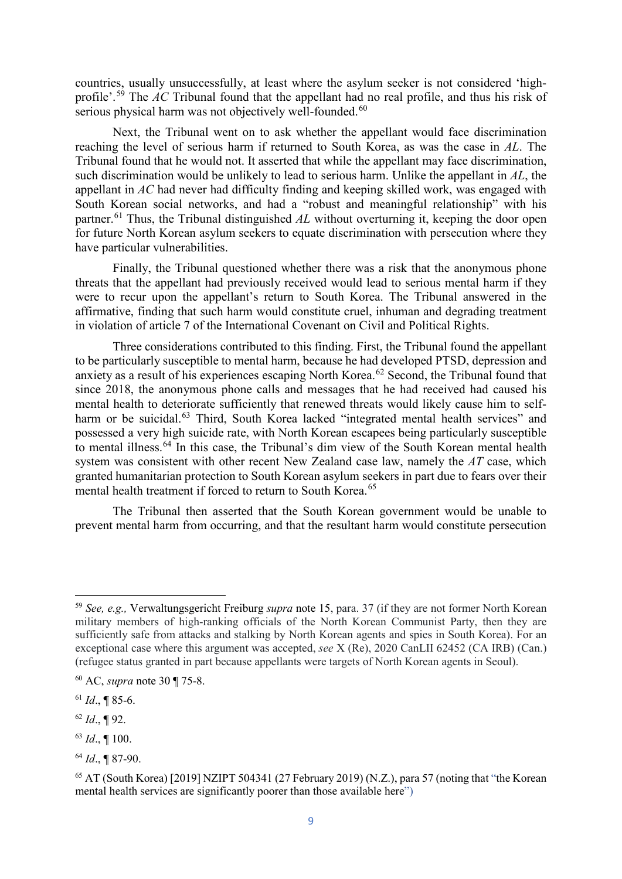countries, usually unsuccessfully, at least where the asylum seeker is not considered 'highprofile'. [59](#page-9-0) The *AC* Tribunal found that the appellant had no real profile, and thus his risk of serious physical harm was not objectively well-founded.<sup>[60](#page-9-1)</sup>

Next, the Tribunal went on to ask whether the appellant would face discrimination reaching the level of serious harm if returned to South Korea, as was the case in *AL*. The Tribunal found that he would not. It asserted that while the appellant may face discrimination, such discrimination would be unlikely to lead to serious harm. Unlike the appellant in *AL*, the appellant in *AC* had never had difficulty finding and keeping skilled work, was engaged with South Korean social networks, and had a "robust and meaningful relationship" with his partner.<sup>[61](#page-9-2)</sup> Thus, the Tribunal distinguished *AL* without overturning it, keeping the door open for future North Korean asylum seekers to equate discrimination with persecution where they have particular vulnerabilities.

Finally, the Tribunal questioned whether there was a risk that the anonymous phone threats that the appellant had previously received would lead to serious mental harm if they were to recur upon the appellant's return to South Korea. The Tribunal answered in the affirmative, finding that such harm would constitute cruel, inhuman and degrading treatment in violation of article 7 of the International Covenant on Civil and Political Rights.

Three considerations contributed to this finding. First, the Tribunal found the appellant to be particularly susceptible to mental harm, because he had developed PTSD, depression and anxiety as a result of his experiences escaping North Korea.<sup>[62](#page-9-3)</sup> Second, the Tribunal found that since 2018, the anonymous phone calls and messages that he had received had caused his mental health to deteriorate sufficiently that renewed threats would likely cause him to self-harm or be suicidal.<sup>[63](#page-9-4)</sup> Third, South Korea lacked "integrated mental health services" and possessed a very high suicide rate, with North Korean escapees being particularly susceptible to mental illness.<sup>[64](#page-9-5)</sup> In this case, the Tribunal's dim view of the South Korean mental health system was consistent with other recent New Zealand case law, namely the *AT* case, which granted humanitarian protection to South Korean asylum seekers in part due to fears over their mental health treatment if forced to return to South Korea.<sup>[65](#page-9-6)</sup>

The Tribunal then asserted that the South Korean government would be unable to prevent mental harm from occurring, and that the resultant harm would constitute persecution

<span id="page-9-3"></span><sup>62</sup> *Id*., ¶ 92.

<u>.</u>

<span id="page-9-4"></span><sup>63</sup> *Id*., ¶ 100.

<span id="page-9-0"></span><sup>59</sup> *See, e.g.,* Verwaltungsgericht Freiburg *supra* note 15, para. 37 (if they are not former North Korean military members of high-ranking officials of the North Korean Communist Party, then they are sufficiently safe from attacks and stalking by North Korean agents and spies in South Korea). For an exceptional case where this argument was accepted, *see* X (Re), 2020 CanLII 62452 (CA IRB) (Can.) (refugee status granted in part because appellants were targets of North Korean agents in Seoul).

<span id="page-9-1"></span><sup>60</sup> AC, *supra* note 30 ¶ 75-8.

<span id="page-9-2"></span><sup>61</sup> *Id*., ¶ 85-6.

<span id="page-9-5"></span><sup>64</sup> *Id*., ¶ 87-90.

<span id="page-9-6"></span><sup>&</sup>lt;sup>65</sup> AT (South Korea) [2019] NZIPT 504341 (27 February 2019) (N.Z.), para 57 (noting that "the Korean mental health services are significantly poorer than those available here")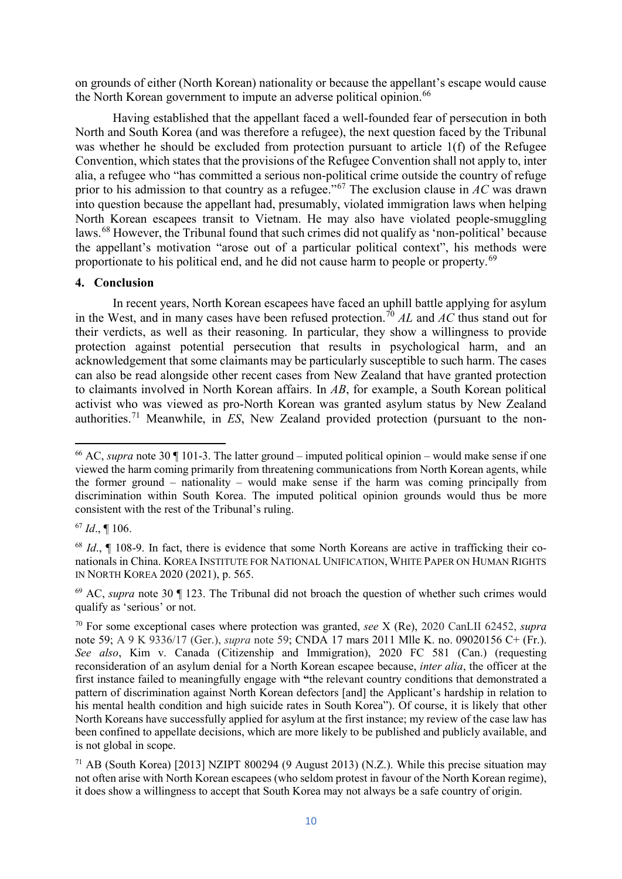on grounds of either (North Korean) nationality or because the appellant's escape would cause the North Korean government to impute an adverse political opinion.<sup>[66](#page-10-0)</sup>

Having established that the appellant faced a well-founded fear of persecution in both North and South Korea (and was therefore a refugee), the next question faced by the Tribunal was whether he should be excluded from protection pursuant to article 1(f) of the Refugee Convention, which states that the provisions of the Refugee Convention shall not apply to, inter alia, a refugee who "has committed a serious non-political crime outside the country of refuge prior to his admission to that country as a refugee."[67](#page-10-1) The exclusion clause in *AC* was drawn into question because the appellant had, presumably, violated immigration laws when helping North Korean escapees transit to Vietnam. He may also have violated people-smuggling laws.<sup>[68](#page-10-2)</sup> However, the Tribunal found that such crimes did not qualify as 'non-political' because the appellant's motivation "arose out of a particular political context", his methods were proportionate to his political end, and he did not cause harm to people or property.<sup>[69](#page-10-3)</sup>

#### **4. Conclusion**

In recent years, North Korean escapees have faced an uphill battle applying for asylum in the West, and in many cases have been refused protection. [70](#page-10-4) *AL* and *AC* thus stand out for their verdicts, as well as their reasoning. In particular, they show a willingness to provide protection against potential persecution that results in psychological harm, and an acknowledgement that some claimants may be particularly susceptible to such harm. The cases can also be read alongside other recent cases from New Zealand that have granted protection to claimants involved in North Korean affairs. In *AB*, for example, a South Korean political activist who was viewed as pro-North Korean was granted asylum status by New Zealand authorities.[71](#page-10-5) Meanwhile, in *ES*, New Zealand provided protection (pursuant to the non-

<span id="page-10-1"></span><sup>67</sup> *Id*., ¶ 106.

<u>.</u>

<span id="page-10-0"></span><sup>66</sup> AC, *supra* note 30 ¶ 101-3. The latter ground – imputed political opinion – would make sense if one viewed the harm coming primarily from threatening communications from North Korean agents, while the former ground – nationality – would make sense if the harm was coming principally from discrimination within South Korea. The imputed political opinion grounds would thus be more consistent with the rest of the Tribunal's ruling.

<span id="page-10-2"></span><sup>68</sup> *Id*., ¶ 108-9. In fact, there is evidence that some North Koreans are active in trafficking their conationals in China. KOREA INSTITUTE FOR NATIONAL UNIFICATION, WHITE PAPER ON HUMAN RIGHTS IN NORTH KOREA 2020 (2021), p. 565.

<span id="page-10-3"></span><sup>&</sup>lt;sup>69</sup> AC, *supra* note 30 ¶ 123. The Tribunal did not broach the question of whether such crimes would qualify as 'serious' or not.

<span id="page-10-4"></span><sup>70</sup> For some exceptional cases where protection was granted, *see* X (Re), 2020 CanLII 62452, *supra* note 59; A 9 K 9336/17 (Ger.), *supra* note 59; CNDA 17 mars 2011 Mlle K. no. 09020156 C+ (Fr.). *See also*, Kim v. Canada (Citizenship and Immigration), 2020 FC 581 (Can.) (requesting reconsideration of an asylum denial for a North Korean escapee because, *inter alia*, the officer at the first instance failed to meaningfully engage with **"**the relevant country conditions that demonstrated a pattern of discrimination against North Korean defectors [and] the Applicant's hardship in relation to his mental health condition and high suicide rates in South Korea"). Of course, it is likely that other North Koreans have successfully applied for asylum at the first instance; my review of the case law has been confined to appellate decisions, which are more likely to be published and publicly available, and is not global in scope.

<span id="page-10-5"></span><sup>71</sup> AB (South Korea) [2013] NZIPT 800294 (9 August 2013) (N.Z.). While this precise situation may not often arise with North Korean escapees (who seldom protest in favour of the North Korean regime), it does show a willingness to accept that South Korea may not always be a safe country of origin.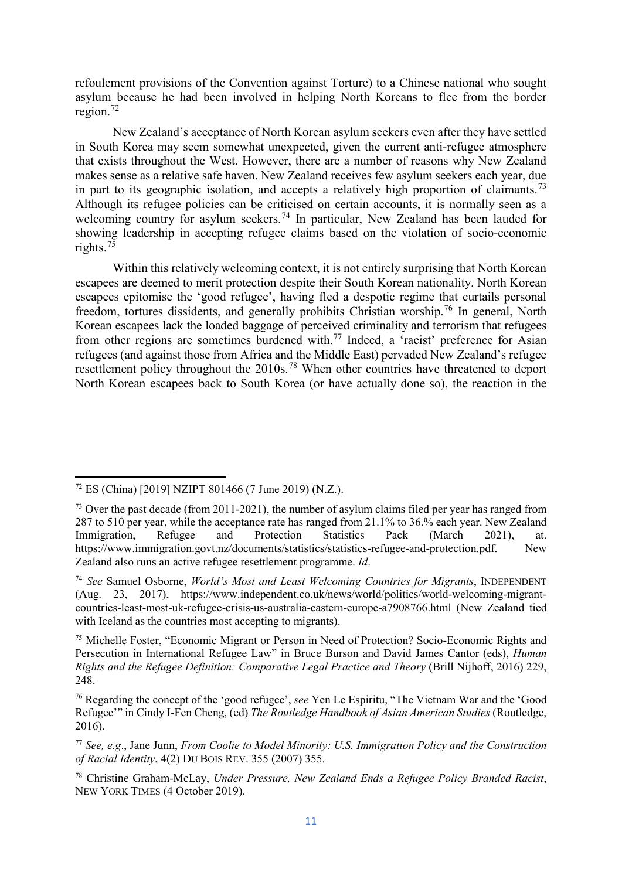refoulement provisions of the Convention against Torture) to a Chinese national who sought asylum because he had been involved in helping North Koreans to flee from the border region.[72](#page-11-0)

New Zealand's acceptance of North Korean asylum seekers even after they have settled in South Korea may seem somewhat unexpected, given the current anti-refugee atmosphere that exists throughout the West. However, there are a number of reasons why New Zealand makes sense as a relative safe haven. New Zealand receives few asylum seekers each year, due in part to its geographic isolation, and accepts a relatively high proportion of claimants.<sup>[73](#page-11-1)</sup> Although its refugee policies can be criticised on certain accounts, it is normally seen as a welcoming country for asylum seekers.<sup>[74](#page-11-2)</sup> In particular, New Zealand has been lauded for showing leadership in accepting refugee claims based on the violation of socio-economic rights.[75](#page-11-3)

Within this relatively welcoming context, it is not entirely surprising that North Korean escapees are deemed to merit protection despite their South Korean nationality. North Korean escapees epitomise the 'good refugee', having fled a despotic regime that curtails personal freedom, tortures dissidents, and generally prohibits Christian worship.<sup>[76](#page-11-4)</sup> In general, North Korean escapees lack the loaded baggage of perceived criminality and terrorism that refugees from other regions are sometimes burdened with.<sup>[77](#page-11-5)</sup> Indeed, a 'racist' preference for Asian refugees (and against those from Africa and the Middle East) pervaded New Zealand's refugee resettlement policy throughout the 2010s.<sup>[78](#page-11-6)</sup> When other countries have threatened to deport North Korean escapees back to South Korea (or have actually done so), the reaction in the

<span id="page-11-1"></span><span id="page-11-0"></span> $\overline{\phantom{a}}$ 

<sup>72</sup> ES (China) [2019] NZIPT 801466 (7 June 2019) (N.Z.).

<span id="page-11-2"></span> $^{73}$  Over the past decade (from 2011-2021), the number of asylum claims filed per year has ranged from 287 to 510 per year, while the acceptance rate has ranged from 21.1% to 36.% each year. New Zealand Immigration, Refugee and Protection Statistics Pack (March 2021), at. [https://www.immigration.govt.nz/documents/statistics/statistics-refugee-and-protection.pdf.](https://www.immigration.govt.nz/documents/statistics/statistics-refugee-and-protection.pdf) New Zealand also runs an active refugee resettlement programme. *Id*.

<span id="page-11-3"></span><sup>74</sup> *See* Samuel Osborne, *World's Most and Least Welcoming Countries for Migrants*, INDEPENDENT (Aug. 23, 2017), [https://www.independent.co.uk/news/world/politics/world-welcoming-migrant](https://www.independent.co.uk/news/world/politics/world-welcoming-migrant-countries-least-most-uk-refugee-crisis-us-australia-eastern-europe-a7908766.html)[countries-least-most-uk-refugee-crisis-us-australia-eastern-europe-a7908766.html](https://www.independent.co.uk/news/world/politics/world-welcoming-migrant-countries-least-most-uk-refugee-crisis-us-australia-eastern-europe-a7908766.html) (New Zealand tied with Iceland as the countries most accepting to migrants).

<span id="page-11-4"></span><sup>75</sup> Michelle Foster, "Economic Migrant or Person in Need of Protection? Socio-Economic Rights and Persecution in International Refugee Law" in Bruce Burson and David James Cantor (eds), *Human Rights and the Refugee Definition: Comparative Legal Practice and Theory* (Brill Nijhoff, 2016) 229, 248.

<span id="page-11-6"></span><span id="page-11-5"></span><sup>76</sup> Regarding the concept of the 'good refugee', *see* Yen Le Espiritu, "The Vietnam War and the 'Good Refugee'" in Cindy I-Fen Cheng, (ed) *The Routledge Handbook of Asian American Studies* (Routledge, 2016).

<span id="page-11-7"></span><sup>77</sup> *See, e.g*., Jane Junn, *From Coolie to Model Minority: U.S. Immigration Policy and the Construction of Racial Identity*, 4(2) DU BOIS REV. 355 (2007) 355.

<sup>78</sup> Christine Graham-McLay, *Under Pressure, New Zealand Ends a Refugee Policy Branded Racist*, NEW YORK TIMES (4 October 2019).